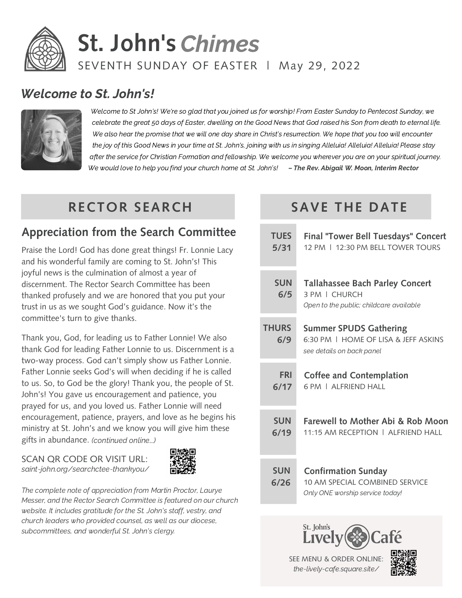

# **St. John's** Chimes SEVENTH SUNDAY OF EASTER | May 29, 2022

#### Welcome to St. John's!



Welcome to St John's! We're so glad that you joined us for worship! From Easter Sunday to Pentecost Sunday, we celebrate the great 50 days of Easter, dwelling on the Good News that God raised his Son from death to eternal life. We also hear the promise that we will one day share in Christ's resurrection. We hope that you too will encounter the joy of this Good News in your time at St. John's, joining with us in singing Alleluia! Alleluia! Alleluia! Please stay after the service for Christian Formation and fellowship. We welcome you wherever you are on your spiritual journey. We would love to help you find your church home at St. John's! – The Rev. Abigail W. Moon, Interim Rector

# **RECTOR SEARCH**

#### **Appreciation from the Search Committee**

Praise the Lord! God has done great things! Fr. Lonnie Lacy and his wonderful family are coming to St. John's! This joyful news is the culmination of almost a year of discernment. The Rector Search Committee has been thanked profusely and we are honored that you put your trust in us as we sought God's guidance. Now it's the committee's turn to give thanks.

Thank you, God, for leading us to Father Lonnie! We also thank God for leading Father Lonnie to us. Discernment is a two-way process. God can't simply show us Father Lonnie. Father Lonnie seeks God's will when deciding if he is called to us. So, to God be the glory! Thank you, the people of St. John's! You gave us encouragement and patience, you prayed for us, and you loved us. Father Lonnie will need encouragement, patience, prayers, and love as he begins his ministry at St. John's and we know you will give him these gifts in abundance. (continued online...)

SCAN QR CODE OR VISIT URL: saint-john.org/searchctee-thankyou/



The complete note of appreciation from Martin Proctor, Laurye Messer, and the Rector Search Committee is featured on our church website. It includes gratitude for the St. John's staff, vestry, and church leaders who provided counsel, as well as our diocese, subcommittees, and wonderful St. John's clergy.

# **SAVE THE DATE**

| <b>TUES</b>         | Final "Tower Bell Tuesdays" Concert                                                                    |
|---------------------|--------------------------------------------------------------------------------------------------------|
| 5/31                | 12 PM   12:30 PM BELL TOWER TOURS                                                                      |
| <b>SUN</b><br>6/5   | <b>Tallahassee Bach Parley Concert</b><br>3 PM   CHURCH<br>Open to the public; childcare available     |
| <b>THURS</b><br>6/9 | <b>Summer SPUDS Gathering</b><br>6:30 PM   HOME OF LISA & JEFF ASKINS<br>see details on back panel     |
| <b>FRI</b>          | <b>Coffee and Contemplation</b>                                                                        |
| 6/17                | 6 PM   ALERIEND HALL                                                                                   |
| <b>SUN</b>          | <b>Farewell to Mother Abi &amp; Rob Moon</b>                                                           |
| 6/19                | 11:15 AM RECEPTION   ALERIEND HALL                                                                     |
| <b>SUN</b><br>6/26  | <b>Confirmation Sunday</b><br><b>10 AM SPECIAL COMBINED SERVICE</b><br>Only ONE worship service today! |

St. John's

SEE MENU & ORDER ONLINE: the-lively-cafe.square.site/